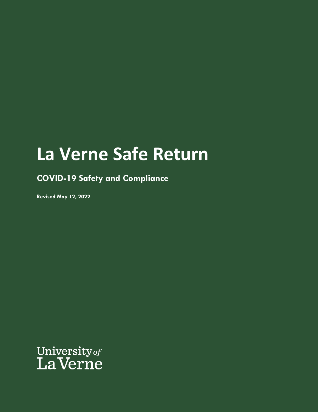# **La Verne Safe Return**

**COVID-19 Safety and Compliance**

**Revised May 12, 2022**

University of<br>La Verne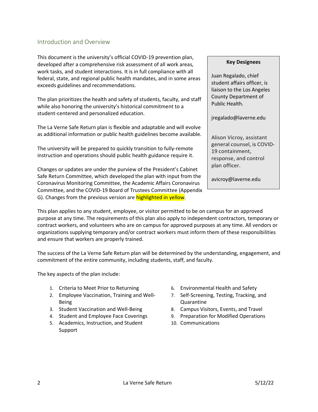### <span id="page-1-0"></span>Introduction and Overview

This document is the university's official COVID-19 prevention plan, developed after a comprehensive risk assessment of all work areas, work tasks, and student interactions. It is in full compliance with all federal, state, and regional public health mandates, and in some areas exceeds guidelines and recommendations.

The plan prioritizes the health and safety of students, faculty, and staff while also honoring the university's historical commitment to a student-centered and personalized education.

The La Verne Safe Return plan is flexible and adaptable and will evolve as additional information or public health guidelines become available.

The university will be prepared to quickly transition to fully-remote instruction and operations should public health guidance require it.

Changes or updates are under the purview of the President's Cabinet Safe Return Committee, which developed the plan with input from the Coronavirus Monitoring Committee, the Academic Affairs Coronavirus Committee, and the COVID-19 Board of Trustees Committee (Appendix G). Changes from the previous version are highlighted in yellow.

#### **Key Designees**

Juan Regalado, chief student affairs officer, is liaison to the Los Angeles County Department of Public Health.

jregalado@laverne.edu

Alison Vicroy, assistant general counsel, is COVID-19 containment, response, and control plan officer.

avicroy@laverne.edu

This plan applies to any student, employee, or visitor permitted to be on campus for an approved purpose at any time. The requirements of this plan also apply to independent contractors, temporary or contract workers, and volunteers who are on campus for approved purposes at any time. All vendors or organizations supplying temporary and/or contract workers must inform them of these responsibilities and ensure that workers are properly trained.

The success of the La Verne Safe Return plan will be determined by the understanding, engagement, and commitment of the entire community, including students, staff, and faculty.

The key aspects of the plan include:

- 1. Criteria to Meet Prior to Returning
- 2. Employee Vaccination, Training and Well-Being
- 3. Student Vaccination and Well-Being
- 4. Student and Employee Face Coverings
- 5. Academics, Instruction, and Student Support
- 6. Environmental Health and Safety
- 7. Self-Screening, Testing, Tracking, and Quarantine
- 8. Campus Visitors, Events, and Travel
- 9. Preparation for Modified Operations
- 10. Communications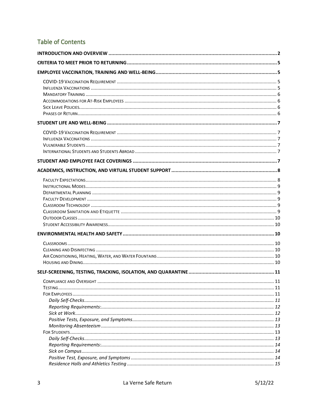# **Table of Contents**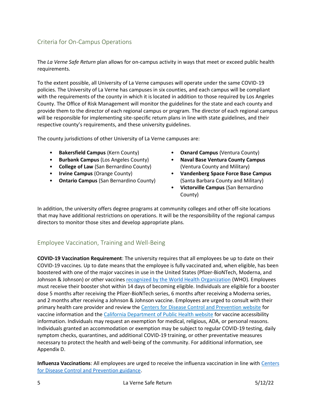## <span id="page-4-0"></span>Criteria for On-Campus Operations

The *La Verne Safe Return* plan allows for on-campus activity in ways that meet or exceed public health requirements.

To the extent possible, all University of La Verne campuses will operate under the same COVID-19 policies. The University of La Verne has campuses in six counties, and each campus will be compliant with the requirements of the county in which it is located in addition to those required by Los Angeles County. The Office of Risk Management will monitor the guidelines for the state and each county and provide them to the director of each regional campus or program. The director of each regional campus will be responsible for implementing site-specific return plans in line with state guidelines, and their respective county's requirements, and these university guidelines.

The county jurisdictions of other University of La Verne campuses are:

- **Bakersfield Campus** (Kern County)
- **Burbank Campus** (Los Angeles County)
- **College of Law** (San Bernardino County)
- **Irvine Campus** (Orange County)
- **Ontario Campus** (San Bernardino County)
- **Oxnard Campus** (Ventura County)
- **Naval Base Ventura County Campus** (Ventura County and Military)
- **Vandenberg Space Force Base Campus** (Santa Barbara County and Military)
- **Victorville Campus** (San Bernardino County)

In addition, the university offers degree programs at community colleges and other off-site locations that may have additional restrictions on operations. It will be the responsibility of the regional campus directors to monitor those sites and develop appropriate plans.

## <span id="page-4-1"></span>Employee Vaccination, Training and Well-Being

<span id="page-4-2"></span>**COVID-19 Vaccination Requirement**: The university requires that all employees be up to date on their COVID-19 vaccines. Up to date means that the employee is fully vaccinated and, when eligible, has been boostered with one of the major vaccines in use in the United States (Pfizer-BioNTech, Moderna, and Johnson & Johnson) or other vaccines [recognized by the World Health Organization](https://extranet.who.int/pqweb/sites/default/files/documents/Status_COVID_VAX_16Feb2021.pdf) (WHO). Employees must receive their booster shot within 14 days of becoming eligible. Individuals are eligible for a booster dose 5 months after receiving the Pfizer-BioNTech series, 6 months after receiving a Moderna series, and 2 months after receiving a Johnson & Johnson vaccine. Employees are urged to consult with their primary health care provider and review the [Centers for Disease Control and Prevention website](https://www.cdc.gov/coronavirus/2019-ncov/vaccines/index.html) for vaccine information and the [California Department of Public Health website](https://covid19.ca.gov/vaccines/) for vaccine accessibility information. Individuals may request an exemption for medical, religious, ADA, or personal reasons. Individuals granted an accommodation or exemption may be subject to regular COVID-19 testing, daily symptom checks, quarantines, and additional COVID-19 training, or other preventative measures necessary to protect the health and well-being of the community. For additional information, see Appendix D.

<span id="page-4-3"></span>**Influenza Vaccinations**: All employees are urged to receive the influenza vaccination in line with [Centers](https://www.cdc.gov/flu/prevent/vaccinations.htm)  [for Disease Control and Prevention guidance.](https://www.cdc.gov/flu/prevent/vaccinations.htm)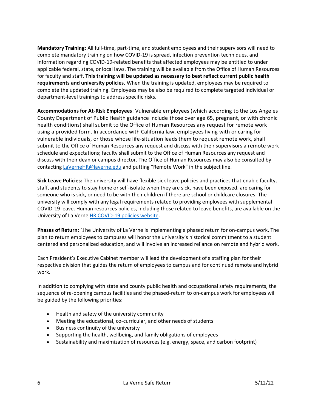<span id="page-5-0"></span>**Mandatory Training**: All full-time, part-time, and student employees and their supervisors will need to complete mandatory training on how COVID-19 is spread, infection prevention techniques, and information regarding COVID-19-related benefits that affected employees may be entitled to under applicable federal, state, or local laws. The training will be available from the Office of Human Resources for faculty and staff. **This training will be updated as necessary to best reflect current public health requirements and university policies.** When the training is updated, employees may be required to complete the updated training. Employees may be also be required to complete targeted individual or department-level trainings to address specific risks.

<span id="page-5-1"></span>**Accommodations for At-Risk Employees**: Vulnerable employees (which according to the Los Angeles County Department of Public Health guidance include those over age 65, pregnant, or with chronic health conditions) shall submit to the Office of Human Resources any request for remote work using a provided form. In accordance with California law, employees living with or caring for vulnerable individuals, or those whose life-situation leads them to request remote work, shall submit to the Office of Human Resources any request and discuss with their supervisors a remote work schedule and expectations; faculty shall submit to the Office of Human Resources any request and discuss with their dean or campus director. The Office of Human Resources may also be consulted by contactin[g LaVerneHR@laverne.edu](mailto:LaVerneHR@laverne.edu) and putting "Remote Work" in the subject line.

<span id="page-5-2"></span>**Sick Leave Policies:** The university will have flexible sick leave policies and practices that enable faculty, staff, and students to stay home or self-isolate when they are sick, have been exposed, are caring for someone who is sick, or need to be with their children if there are school or childcare closures. The university will comply with any legal requirements related to providing employees with supplemental COVID-19 leave. Human resources policies, including those related to leave benefits, are available on the University of La Verne [HR COVID-19 policies website.](https://myportal.laverne.edu/web/hr-intranet/covid-19-policies-and-forms)

<span id="page-5-3"></span>**Phases of Return:** The University of La Verne is implementing a phased return for on-campus work. The plan to return employees to campuses will honor the university's historical commitment to a student centered and personalized education, and will involve an increased reliance on remote and hybrid work.

Each President's Executive Cabinet member will lead the development of a staffing plan for their respective division that guides the return of employees to campus and for continued remote and hybrid work.

In addition to complying with state and county public health and occupational safety requirements, the sequence of re-opening campus facilities and the phased-return to on-campus work for employees will be guided by the following priorities:

- Health and safety of the university community
- Meeting the educational, co-curricular, and other needs of students
- Business continuity of the university
- Supporting the health, wellbeing, and family obligations of employees
- Sustainability and maximization of resources (e.g. energy, space, and carbon footprint)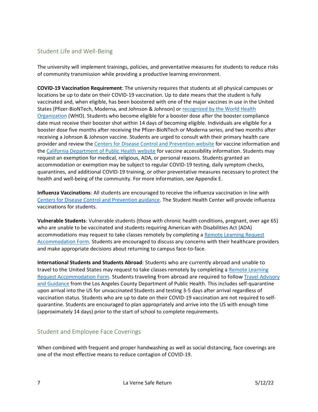## <span id="page-6-0"></span>Student Life and Well-Being

The university will implement trainings, policies, and preventative measures for students to reduce risks of community transmission while providing a productive learning environment.

<span id="page-6-1"></span>**COVID-19 Vaccination Requirement**: The university requires that students at all physical campuses or locations be up to date on their COVID-19 vaccination. Up to date means that the student is fully vaccinated and, when eligible, has been boostered with one of the major vaccines in use in the United States (Pfizer-BioNTech, Moderna, and Johnson & Johnson) or [recognized by the World Health](https://extranet.who.int/pqweb/sites/default/files/documents/Status_COVID_VAX_16Feb2021.pdf)  [Organization](https://extranet.who.int/pqweb/sites/default/files/documents/Status_COVID_VAX_16Feb2021.pdf) (WHO). Students who become eligible for a booster dose after the booster compliance date must receive their booster shot within 14 days of becoming eligible. Individuals are eligible for a booster dose five months after receiving the Pfizer-BioNTech or Moderna series, and two months after receiving a Johnson & Johnson vaccine. Students are urged to consult with their primary health care provider and review the [Centers for Disease Control and Prevention website](https://www.cdc.gov/coronavirus/2019-ncov/vaccines/index.html) for vaccine information and th[e California Department of Public Health website](https://covid19.ca.gov/vaccines/) for vaccine accessibility information. Students may request an exemption for medical, religious, ADA, or personal reasons. Students granted an accommodation or exemption may be subject to regular COVID-19 testing, daily symptom checks, quarantines, and additional COVID-19 training, or other preventative measures necessary to protect the health and well-being of the community. For more information, see Appendix E.

<span id="page-6-2"></span>**Influenza Vaccinations**: All students are encouraged to receive the influenza vaccination in line with [Centers for Disease Control and Prevention guidance.](https://www.cdc.gov/flu/prevent/vaccinations.htm) The Student Health Center will provide influenza vaccinations for students.

<span id="page-6-3"></span>**Vulnerable Students**: Vulnerable students (those with chronic health conditions, pregnant, over age 65) who are unable to be vaccinated and students requiring American with Disabilities Act (ADA) accommodations may request to take classes remotely by completing [a Remote Learning Request](https://cm.maxient.com/reportingform.php?UnivofLaVerne&layout_id=35)  [Accommodation Form.](https://cm.maxient.com/reportingform.php?UnivofLaVerne&layout_id=35) Students are encouraged to discuss any concerns with their healthcare providers and make appropriate decisions about returning to campus face-to-face.

<span id="page-6-4"></span>**International Students and Students Abroad**: Students who are currently abroad and unable to travel to the United States may request to take classes remotely by completing a Remote Learning [Request Accommodation Form.](https://cm.maxient.com/reportingform.php?UnivofLaVerne&layout_id=35) Students traveling from abroad are required to follow [Travel Advisory](http://www.publichealth.lacounty.gov/media/coronavirus/traveladvisory.htm)  [and Guidance](http://www.publichealth.lacounty.gov/media/coronavirus/traveladvisory.htm) from the Los Angeles County Department of Public Health. This includes self-quarantine upon arrival into the US for unvaccinated Students and testing 3-5 days after arrival regardless of vaccination status. Students who are up to date on their COVID-19 vaccination are not required to selfquarantine. Students are encouraged to plan appropriately and arrive into the US with enough time (approximately 14 days) prior to the start of school to complete requirements.

## <span id="page-6-5"></span>Student and Employee Face Coverings

When combined with frequent and proper handwashing as well as social distancing, face coverings are one of the most effective means to reduce contagion of COVID-19.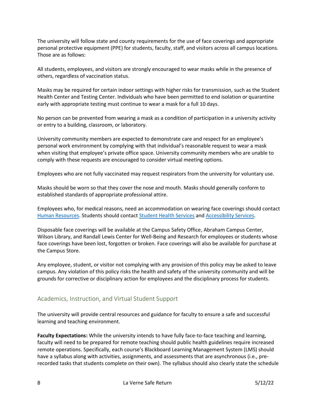The university will follow state and county requirements for the use of face coverings and appropriate personal protective equipment (PPE) for students, faculty, staff, and visitors across all campus locations. Those are as follows:

All students, employees, and visitors are strongly encouraged to wear masks while in the presence of others, regardless of vaccination status.

Masks may be required for certain indoor settings with higher risks for transmission, such as the Student Health Center and Testing Center. Individuals who have been permitted to end isolation or quarantine early with appropriate testing must continue to wear a mask for a full 10 days.

No person can be prevented from wearing a mask as a condition of participation in a university activity or entry to a building, classroom, or laboratory.

University community members are expected to demonstrate care and respect for an employee's personal work environment by complying with that individual's reasonable request to wear a mask when visiting that employee's private office space. University community members who are unable to comply with these requests are encouraged to consider virtual meeting options.

Employees who are not fully vaccinated may request respirators from the university for voluntary use.

Masks should be worn so that they cover the nose and mouth. Masks should generally conform to established standards of appropriate professional attire.

Employees who, for medical reasons, need an accommodation on wearing face coverings should contact [Human Resources.](https://myportal.laverne.edu/web/hr-intranet/covid-19-policies-and-forms) Students should contact [Student Health Services](https://laverne.edu/health/) and [Accessibility Services.](https://laverne.edu/accessibility/)

Disposable face coverings will be available at the Campus Safety Office, Abraham Campus Center, Wilson Library, and Randall Lewis Center for Well-Being and Research for employees or students whose face coverings have been lost, forgotten or broken. Face coverings will also be available for purchase at the Campus Store.

Any employee, student, or visitor not complying with any provision of this policy may be asked to leave campus. Any violation of this policy risks the health and safety of the university community and will be grounds for corrective or disciplinary action for employees and the disciplinary process for students.

## <span id="page-7-0"></span>Academics, Instruction, and Virtual Student Support

The university will provide central resources and guidance for faculty to ensure a safe and successful learning and teaching environment.

<span id="page-7-1"></span>**Faculty Expectations:** While the university intends to have fully face-to-face teaching and learning, faculty will need to be prepared for remote teaching should public health guidelines require increased remote operations. Specifically, each course's Blackboard Learning Management System (LMS) should have a syllabus along with activities, assignments, and assessments that are asynchronous (i.e., prerecorded tasks that students complete on their own). The syllabus should also clearly state the schedule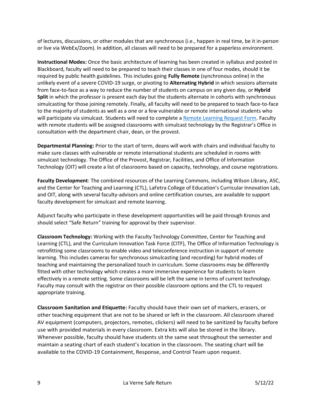of lectures, discussions, or other modules that are synchronous (i.e., happen in real time, be it in-person or live via WebEx/Zoom). In addition, all classes will need to be prepared for a paperless environment.

<span id="page-8-0"></span>**Instructional Modes:** Once the basic architecture of learning has been created in syllabus and posted in Blackboard, faculty will need to be prepared to teach their classes in one of four modes, should it be required by public health guidelines. This includes going **Fully Remote** (synchronous online) in the unlikely event of a severe COVID-19 surge, or pivoting to **Alternating Hybrid** in which sessions alternate from face-to-face as a way to reduce the number of students on campus on any given day, or **Hybrid Split** in which the professor is present each day but the students alternate in cohorts with synchronous simulcasting for those joining remotely. Finally, all faculty will need to be prepared to teach face-to-face to the majority of students as well as a one or a few vulnerable or remote international students who will participate via simulcast. Students will need to complete [a Remote Learning Request Form.](https://ulaverne.formstack.com/forms/remote_learning) Faculty with remote students will be assigned classrooms with simulcast technology by the Registrar's Office in consultation with the department chair, dean, or the provost.

<span id="page-8-1"></span>**Departmental Planning:** Prior to the start of term, deans will work with chairs and individual faculty to make sure classes with vulnerable or remote international students are scheduled in rooms with simulcast technology. The Office of the Provost, Registrar, Facilities, and Office of Information Technology (OIT) will create a list of classrooms based on capacity, technology, and course registrations.

<span id="page-8-2"></span>**Faculty Development**: The combined resources of the Learning Commons, including Wilson Library, ASC, and the Center for Teaching and Learning (CTL), LaFetra College of Education's Curricular Innovation Lab, and OIT, along with several faculty-advisors and online certification courses, are available to support faculty development for simulcast and remote learning.

Adjunct faculty who participate in these development opportunities will be paid through Kronos and should select "Safe Return" training for approval by their supervisor.

<span id="page-8-3"></span>**Classroom Technology:** Working with the Faculty Technology Committee, Center for Teaching and Learning (CTL), and the Curriculum Innovation Task Force (CITF), The Office of Information Technology is retrofitting some classrooms to enable video and teleconference instruction in support of remote learning. This includes cameras for synchronous simulcasting (and recording) for hybrid modes of teaching and maintaining the personalized touch in curriculum. Some classrooms may be differently fitted with other technology which creates a more immersive experience for students to learn effectively in a remote setting. Some classrooms will be left the same in terms of current technology. Faculty may consult with the registrar on their possible classroom options and the CTL to request appropriate training.

<span id="page-8-4"></span>**Classroom Sanitation and Etiquette:** Faculty should have their own set of markers, erasers, or other teaching equipment that are not to be shared or left in the classroom. All classroom shared AV equipment (computers, projectors, remotes, clickers) will need to be sanitized by faculty before use with provided materials in every classroom. Extra kits will also be stored in the library. Whenever possible, faculty should have students sit the same seat throughout the semester and maintain a seating chart of each student's location in the classroom. The seating chart will be available to the COVID-19 Containment, Response, and Control Team upon request.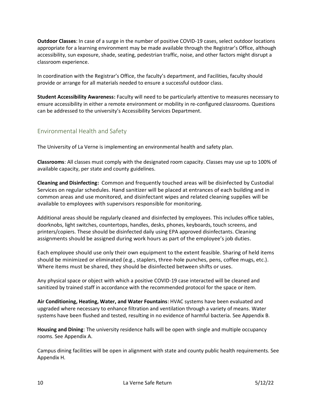<span id="page-9-0"></span>**Outdoor Classes**: In case of a surge in the number of positive COVID-19 cases, select outdoor locations appropriate for a learning environment may be made available through the Registrar's Office, although accessibility, sun exposure, shade, seating, pedestrian traffic, noise, and other factors might disrupt a classroom experience.

In coordination with the Registrar's Office, the faculty's department, and Facilities, faculty should provide or arrange for all materials needed to ensure a successful outdoor class.

<span id="page-9-1"></span>**Student Accessibility Awareness:** Faculty will need to be particularly attentive to measures necessary to ensure accessibility in either a remote environment or mobility in re-configured classrooms. Questions can be addressed to the university's [Accessibility Services Department.](https://laverne.edu/accessibility/)

## <span id="page-9-2"></span>Environmental Health and Safety

The University of La Verne is implementing an environmental health and safety plan.

<span id="page-9-3"></span>**Classrooms**: All classes must comply with the designated room capacity. Classes may use up to 100% of available capacity, per state and county guidelines.

<span id="page-9-4"></span>**Cleaning and Disinfecting:** Common and frequently touched areas will be disinfected by Custodial Services on regular schedules. Hand sanitizer will be placed at entrances of each building and in common areas and use monitored, and disinfectant wipes and related cleaning supplies will be available to employees with supervisors responsible for monitoring.

Additional areas should be regularly cleaned and disinfected by employees. This includes office tables, doorknobs, light switches, countertops, handles, desks, phones, keyboards, touch screens, and printers/copiers. These should be disinfected daily using EPA approved disinfectants. Cleaning assignments should be assigned during work hours as part of the employee's job duties.

Each employee should use only their own equipment to the extent feasible. Sharing of held items should be minimized or eliminated (e.g., staplers, three-hole punches, pens, coffee mugs, etc.). Where items must be shared, they should be disinfected between shifts or uses.

Any physical space or object with which a positive COVID-19 case interacted will be cleaned and sanitized by trained staff in accordance with the recommended protocol for the space or item.

<span id="page-9-5"></span>**Air Conditioning, Heating, Water, and Water Fountains**: HVAC systems have been evaluated and upgraded where necessary to enhance filtration and ventilation through a variety of means. Water systems have been flushed and tested, resulting in no evidence of harmful bacteria. See Appendix B.

<span id="page-9-6"></span>**Housing and Dining**: The university residence halls will be open with single and multiple occupancy rooms. See Appendix A.

Campus dining facilities will be open in alignment with state and county public health requirements. See Appendix H.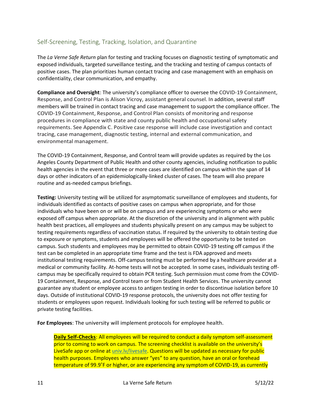## <span id="page-10-0"></span>Self-Screening, Testing, Tracking, Isolation, and Quarantine

The *La Verne Safe Return* plan for testing and tracking focuses on diagnostic testing of symptomatic and exposed individuals, targeted surveillance testing, and the tracking and testing of campus contacts of positive cases. The plan prioritizes human contact tracing and case management with an emphasis on confidentiality, clear communication, and empathy.

<span id="page-10-1"></span>**Compliance and Oversight**: The university's compliance officer to oversee the COVID-19 Containment, Response, and Control Plan is Alison Vicroy, assistant general counsel. In addition, several staff members will be trained in contact tracing and case management to support the compliance officer. The COVID-19 Containment, Response, and Control Plan consists of monitoring and response procedures in compliance with state and county public health and occupational safety requirements. See Appendix C. Positive case response will include case investigation and contact tracing, case management, diagnostic testing, internal and external communication, and environmental management.

The COVID-19 Containment, Response, and Control team will provide updates as required by the Los Angeles County Department of Public Health and other county agencies, including notification to public health agencies in the event that three or more cases are identified on campus within the span of 14 days or other indicators of an epidemiologically-linked cluster of cases. The team will also prepare routine and as-needed campus briefings.

<span id="page-10-2"></span>**Testing:** University testing will be utilized for asymptomatic surveillance of employees and students, for individuals identified as contacts of positive cases on campus when appropriate, and for those individuals who have been on or will be on campus and are experiencing symptoms or who were exposed off campus when appropriate. At the discretion of the university and in alignment with public health best practices, all employees and students physically present on any campus may be subject to testing requirements regardless of vaccination status. If required by the university to obtain testing due to exposure or symptoms, students and employees will be offered the opportunity to be tested on campus. Such students and employees may be permitted to obtain COVID-19 testing off campus if the test can be completed in an appropriate time frame and the test is FDA approved and meets institutional testing requirements. Off-campus testing must be performed by a healthcare provider at a medical or community facility. At-home tests will not be accepted. In some cases, individuals testing offcampus may be specifically required to obtain PCR testing. Such permission must come from the COVID-19 Containment, Response, and Control team or from Student Health Services. The university cannot guarantee any student or employee access to antigen testing in order to discontinue isolation before 10 days. Outside of institutional COVID-19 response protocols, the university does not offer testing for students or employees upon request. Individuals looking for such testing will be referred to public or private testing facilities.

<span id="page-10-4"></span><span id="page-10-3"></span>**For Employees**: The university will implement protocols for employee health.

**Daily Self-Checks**: All employees will be required to conduct a daily symptom self-assessment prior to coming to work on campus. The screening checklist is available on the university's LiveSafe app or online at [univ.lv/livesafe.](https://univ.lv/livesafe) Questions will be updated as necessary for public health purposes. Employees who answer "yes" to any question, have an oral or forehead temperature of 99.9˚F or higher, or are experiencing any symptom of COVID-19, as currently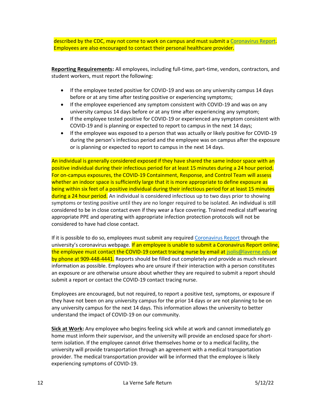described by the CDC, may not come to work on campus and must submit a [Coronavirus Report.](https://cm.maxient.com/reportingform.php?UnivofLaVerne&layout_id=127) Employees are also encouraged to contact their personal healthcare provider.

<span id="page-11-0"></span>**Reporting Requirements:** All employees, including full-time, part-time, vendors, contractors, and student workers, must report the following:

- If the employee tested positive for COVID-19 and was on any university campus 14 days before or at any time after testing positive or experiencing symptoms;
- If the employee experienced any symptom consistent with COVID-19 and was on any university campus 14 days before or at any time after experiencing any symptom;
- If the employee tested positive for COVID-19 or experienced any symptom consistent with COVID-19 and is planning or expected to report to campus in the next 14 days;
- If the employee was exposed to a person that was actually or likely positive for COVID-19 during the person's infectious period and the employee was on campus after the exposure or is planning or expected to report to campus in the next 14 days.

An individual is generally considered exposed if they have shared the same indoor space with an positive individual during their infectious period for at least 15 minutes during a 24 hour period. For on-campus exposures, the COVID-19 Containment, Response, and Control Team will assess whether an indoor space is sufficiently large that it is more appropriate to define exposure as being within six feet of a positive individual during their infectious period for at least 15 minutes during a 24 hour period. An individual is considered infectious up to two days prior to showing symptoms or testing positive until they are no longer required to be isolated. An individual is still considered to be in close contact even if they wear a face covering. Trained medical staff wearing appropriate PPE and operating with appropriate infection protection protocols will not be considered to have had close contact.

If it is possible to do so, employees must submit any required [Coronavirus Report](https://cm.maxient.com/reportingform.php?UnivofLaVerne&layout_id=127) through the university's coronavirus webpage. If an employee is unable to submit a Coronavirus Report online, the employee must contact the COVID-19 contact tracing nurse by email at [jsolis@laverne.edu](mailto:jsolis@laverne.edu) or by phone at 909-448-4441. Reports should be filled out completely and provide as much relevant information as possible. Employees who are unsure if their interaction with a person constitutes an exposure or are otherwise unsure about whether they are required to submit a report should submit a report or contact the COVID-19 contact tracing nurse.

Employees are encouraged, but not required, to report a positive test, symptoms, or exposure if they have not been on any university campus for the prior 14 days or are not planning to be on any university campus for the next 14 days. This information allows the university to better understand the impact of COVID-19 on our community.

<span id="page-11-1"></span>**Sick at Work:** Any employee who begins feeling sick while at work and cannot immediately go home must inform their supervisor, and the university will provide an enclosed space for shortterm isolation. If the employee cannot drive themselves home or to a medical facility, the university will provide transportation through an agreement with a medical transportation provider. The medical transportation provider will be informed that the employee is likely experiencing symptoms of COVID-19.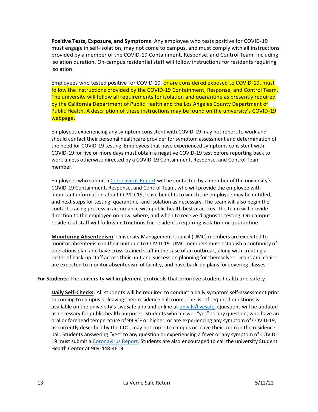<span id="page-12-0"></span>**Positive Tests, Exposure, and Symptoms**: Any employee who tests positive for COVID-19 must engage in self-isolation, may not come to campus, and must comply with all instructions provided by a member of the COVID-19 Containment, Response, and Control Team, including isolation duration. On-campus residential staff will follow instructions for residents requiring isolation.

Employees who tested positive for COVID-19, or are considered exposed to COVID-19, must follow the instructions provided by the COVID-19 Containment, Response, and Control Team. The university will follow all requirements for isolation and quarantine as presently required by the California Department of Public Health and the Los Angeles County Department of Public Health. A description of these instructions may be found on the university's COVID-19 webpage.

Employees experiencing any symptom consistent with COVID-19 may not report to work and should contact their personal healthcare provider for symptom assessment and determination of the need for COVID-19 testing. Employees that have experienced symptoms consistent with COVID-19 for five or more days must obtain a negative COVID-19 test before reporting back to work unless otherwise directed by a COVID-19 Containment, Response, and Control Team member.

Employees who submit a [Coronavirus Report](https://cm.maxient.com/reportingform.php?UnivofLaVerne&layout_id=127) will be contacted by a member of the university's COVID-19 Containment, Response, and Control Team, who will provide the employee with important information about COVID-19, leave benefits to which the employee may be entitled, and next steps for testing, quarantine, and isolation as necessary. The team will also begin the contact tracing process in accordance with public health best practices. The team will provide direction to the employee on how, where, and when to receive diagnostic testing. On-campus residential staff will follow instructions for residents requiring isolation or quarantine.

<span id="page-12-1"></span>**Monitoring Absenteeism**: University Management Council (UMC) members are expected to monitor absenteeism in their unit due to COVID-19. UMC members must establish a continuity of operations plan and have cross-trained staff in the case of an outbreak, along with creating a roster of back-up staff across their unit and succession planning for themselves. Deans and chairs are expected to monitor absenteeism of faculty, and have back-up plans for covering classes.

<span id="page-12-3"></span><span id="page-12-2"></span>**For Students**: The university will implement protocols that prioritize student health and safety.

**Daily Self-Checks**: All students will be required to conduct a daily symptom self-assessment prior to coming to campus or leaving their residence hall room. The list of required questions is available on the university's LiveSafe app and online at [univ.lv/livesafe.](https://univ.lv/livesafe) Questions will be updated as necessary for public health purposes. Students who answer "yes" to any question, who have an oral or forehead temperature of 99.9˚F or higher, or are experiencing any symptom of COVID-19, as currently described by the CDC, may not come to campus or leave their room in the residence hall. Students answering "yes" to any question or experiencing a fever or any symptom of COVID-19 must submit a [Coronavirus Report.](https://cm.maxient.com/reportingform.php?UnivofLaVerne&layout_id=127) Students are also encouraged to call the university Student Health Center at 909-448-4619.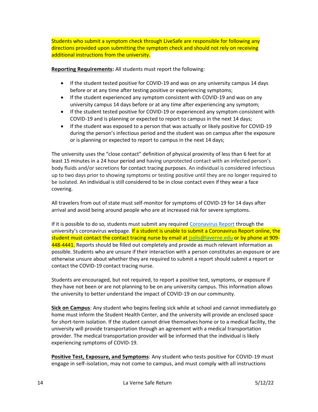Students who submit a symptom check through LiveSafe are responsible for following any directions provided upon submitting the symptom check and should not rely on receiving additional instructions from the university.

<span id="page-13-0"></span>**Reporting Requirements:** All students must report the following:

- If the student tested positive for COVID-19 and was on any university campus 14 days before or at any time after testing positive or experiencing symptoms;
- If the student experienced any symptom consistent with COVID-19 and was on any university campus 14 days before or at any time after experiencing any symptom;
- If the student tested positive for COVID-19 or experienced any symptom consistent with COVID-19 and is planning or expected to report to campus in the next 14 days;
- If the student was exposed to a person that was actually or likely positive for COVID-19 during the person's infectious period and the student was on campus after the exposure or is planning or expected to report to campus in the next 14 days;

The university uses the "close contact" definition of physical proximity of less than 6 feet for at least 15 minutes in a 24 hour period and having unprotected contact with an infected person's body fluids and/or secretions for contact tracing purposes. An individual is considered infectious up to two days prior to showing symptoms or testing positive until they are no longer required to be isolated. An individual is still considered to be in close contact even if they wear a face covering.

All travelers from out of state must self-monitor for symptoms of COVID-19 for 14 days after arrival and avoid being around people who are at increased risk for severe symptoms.

If it is possible to do so, students must submit any required [Coronavirus Report](https://cm.maxient.com/reportingform.php?UnivofLaVerne&layout_id=127) through the university's coronavirus webpage. If a student is unable to submit a Coronavirus Report online, the student must contact the contact tracing nurse by email a[t jsolis@laverne.edu](mailto:jsolis@laverne.edu) or by phone at 909- 448-4441. Reports should be filled out completely and provide as much relevant information as possible. Students who are unsure if their interaction with a person constitutes an exposure or are otherwise unsure about whether they are required to submit a report should submit a report or contact the COVID-19 contact tracing nurse.

Students are encouraged, but not required, to report a positive test, symptoms, or exposure if they have not been or are not planning to be on any university campus. This information allows the university to better understand the impact of COVID-19 on our community.

<span id="page-13-1"></span>**Sick on Campus**: Any student who begins feeling sick while at school and cannot immediately go home must inform the Student Health Center, and the university will provide an enclosed space for short-term isolation. If the student cannot drive themselves home or to a medical facility, the university will provide transportation through an agreement with a medical transportation provider. The medical transportation provider will be informed that the individual is likely experiencing symptoms of COVID-19.

<span id="page-13-2"></span>**Positive Test, Exposure, and Symptoms**: Any student who tests positive for COVID-19 must engage in self-isolation, may not come to campus, and must comply with all instructions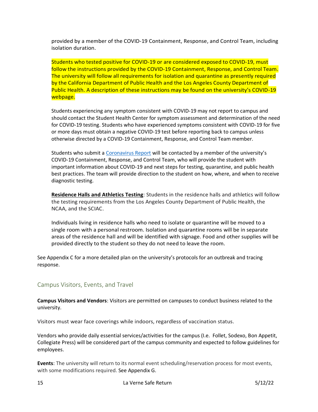provided by a member of the COVID-19 Containment, Response, and Control Team, including isolation duration.

Students who tested positive for COVID-19 or are considered exposed to COVID-19, must follow the instructions provided by the COVID-19 Containment, Response, and Control Team. The university will follow all requirements for isolation and quarantine as presently required by the California Department of Public Health and the Los Angeles County Department of Public Health. A description of these instructions may be found on the university's COVID-19 webpage.

Students experiencing any symptom consistent with COVID-19 may not report to campus and should contact the Student Health Center for symptom assessment and determination of the need for COVID-19 testing. Students who have experienced symptoms consistent with COVID-19 for five or more days must obtain a negative COVID-19 test before reporting back to campus unless otherwise directed by a COVID-19 Containment, Response, and Control Team member.

Students who submit a [Coronavirus Report](https://cm.maxient.com/reportingform.php?UnivofLaVerne&layout_id=127) will be contacted by a member of the university's COVID-19 Containment, Response, and Control Team, who will provide the student with important information about COVID-19 and next steps for testing, quarantine, and public health best practices. The team will provide direction to the student on how, where, and when to receive diagnostic testing.

<span id="page-14-0"></span>**Residence Halls and Athletics Testing**: Students in the residence halls and athletics will follow the testing requirements from the Los Angeles County Department of Public Health, the NCAA, and the SCIAC.

Individuals living in residence halls who need to isolate or quarantine will be moved to a single room with a personal restroom. Isolation and quarantine rooms will be in separate areas of the residence hall and will be identified with signage. Food and other supplies will be provided directly to the student so they do not need to leave the room.

See Appendix C for a more detailed plan on the university's protocols for an outbreak and tracing response.

## <span id="page-14-1"></span>Campus Visitors, Events, and Travel

<span id="page-14-2"></span>**Campus Visitors and Vendors**: Visitors are permitted on campuses to conduct business related to the university.

Visitors must wear face coverings while indoors, regardless of vaccination status.

Vendors who provide daily essential services/activities for the campus (I.e. Follet, Sodexo, Bon Appetit, Collegiate Press) will be considered part of the campus community and expected to follow guidelines for employees.

<span id="page-14-3"></span>**Events**: The university will return to its normal event scheduling/reservation process for most events, with some modifications required. See Appendix G.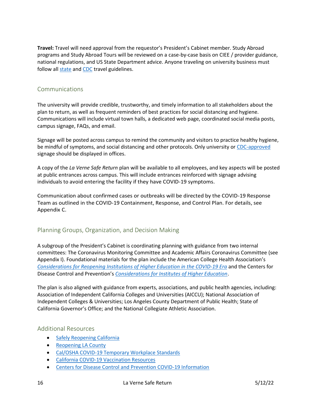<span id="page-15-0"></span>**Travel:** Travel will need approval from the requestor's President's Cabinet member. Study Abroad programs and Study Abroad Tours will be reviewed on a case-by-case basis on CIEE / provider guidance, national regulations, and US State Department advice. Anyone traveling on university business must follow all [state](https://covid19.ca.gov/travel/) and [CDC](https://www.cdc.gov/coronavirus/2019-ncov/travelers/index.html) travel guidelines.

## <span id="page-15-1"></span>Communications

The university will provide credible, trustworthy, and timely information to all stakeholders about the plan to return, as well as frequent reminders of best practices for social distancing and hygiene. Communications will include virtual town halls, a dedicated web page, coordinated social media posts, campus signage, FAQs, and email.

Signage will be posted across campus to remind the community and visitors to practice healthy hygiene, be mindful of symptoms, and social distancing and other protocols. Only university or [CDC-approved](https://www.cdc.gov/coronavirus/2019-ncov/communication/print-resources.html?Sort=Date%3A%3Adesc&CDC_AA_refVal=https%3A%2F%2Fwww.cdc.gov%2Fcoronavirus%2F2019-ncov%2Fcommunication%2Ffactsheets.html) signage should be displayed in offices.

A copy of the *La Verne Safe Return* plan will be available to all employees, and key aspects will be posted at public entrances across campus. This will include entrances reinforced with signage advising individuals to avoid entering the facility if they have COVID-19 symptoms.

Communication about confirmed cases or outbreaks will be directed by the COVID-19 Response Team as outlined in the COVID-19 Containment, Response, and Control Plan. For details, see Appendix C.

## <span id="page-15-2"></span>Planning Groups, Organization, and Decision Making

A subgroup of the President's Cabinet is coordinating planning with guidance from two internal committees: The Coronavirus Monitoring Committee and Academic Affairs Coronavirus Committee (see Appendix I). Foundational materials for the plan include the American College Health Association's *[Considerations for Reopening Institutions of](https://www.acha.org/documents/resources/guidelines/ACHA_Considerations_for_Reopening_IHEs_in_the_COVID-19_Era_May2020.pdf) Higher Education in the COVID-19 Era* and the Centers for Disease Control and Prevention's *[Considerations for Institutes of Higher Education](https://www.cdc.gov/coronavirus/2019-ncov/community/colleges-universities/considerations.html)*.

The plan is also aligned with guidance from experts, associations, and public health agencies, including: Association of Independent California Colleges and Universities (AICCU); National Association of Independent Colleges & Universities; Los Angeles County Department of Public Health; State of California Governor's Office; and the National Collegiate Athletic Association.

#### <span id="page-15-3"></span>Additional Resources

- [Safely Reopening California](https://covid19.ca.gov/safely-reopening/#reopening-california)
- [Reopening LA County](http://publichealth.lacounty.gov/media/coronavirus/reopening-la.htm#restaurants)
- [Cal/OSHA COVID-19 Temporary Workplace Standards](https://www.dir.ca.gov/dosh/coronavirus/Revisions-FAQ.html)
- [California COVID-19 Vaccination Resources](https://myturn.ca.gov/)
- [Centers for Disease Control and Prevention COVID-19 Information](https://www.cdc.gov/coronavirus/2019-ncov/index.html)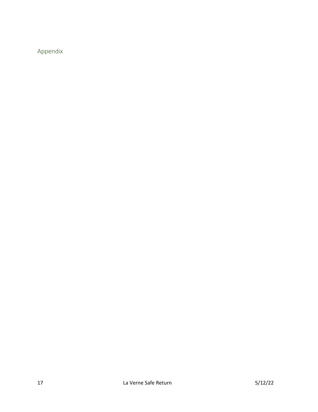<span id="page-16-0"></span>Appendix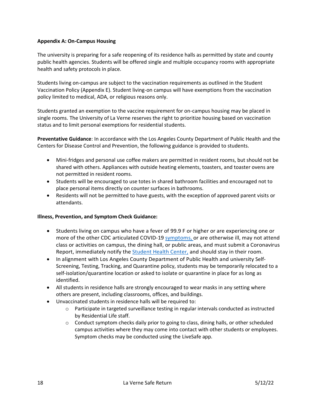#### <span id="page-17-0"></span>**Appendix A: On-Campus Housing**

The university is preparing for a safe reopening of its residence halls as permitted by state and county public health agencies. Students will be offered single and multiple occupancy rooms with appropriate health and safety protocols in place.

Students living on-campus are subject to the vaccination requirements as outlined in the Student Vaccination Policy (Appendix E). Student living-on campus will have exemptions from the vaccination policy limited to medical, ADA, or religious reasons only.

Students granted an exemption to the vaccine requirement for on-campus housing may be placed in single rooms. The University of La Verne reserves the right to prioritize housing based on vaccination status and to limit personal exemptions for residential students.

**Preventative Guidance**: In accordance with the Los Angeles County Department of Public Health and the Centers for Disease Control and Prevention, the following guidance is provided to students.

- Mini-fridges and personal use coffee makers are permitted in resident rooms, but should not be shared with others. Appliances with outside heating elements, toasters, and toaster ovens are not permitted in resident rooms.
- Students will be encouraged to use totes in shared bathroom facilities and encouraged not to place personal items directly on counter surfaces in bathrooms.
- Residents will not be permitted to have guests, with the exception of approved parent visits or attendants.

#### **Illness, Prevention, and Symptom Check Guidance:**

- Students living on campus who have a fever of 99.9 F or higher or are experiencing one or more of the other CDC articulated COVID-19 [symptoms,](https://www.cdc.gov/coronavirus/2019-ncov/symptoms-testing/symptoms.html) or are otherwise ill, may not attend class or activities on campus, the dining hall, or public areas, and must submit a Coronavirus Report, immediately notify the [Student Health Center,](https://laverne.edu/health/) and should stay in their room.
- In alignment with Los Angeles County Department of Public Health and university Self-Screening, Testing, Tracking, and Quarantine policy, students may be temporarily relocated to a self-isolation/quarantine location or asked to isolate or quarantine in place for as long as identified.
- All students in residence halls are strongly encouraged to wear masks in any setting where others are present, including classrooms, offices, and buildings.
- Unvaccinated students in residence halls will be required to:
	- o Participate in targeted surveillance testing in regular intervals conducted as instructed by Residential Life staff.
	- $\circ$  Conduct symptom checks daily prior to going to class, dining halls, or other scheduled campus activities where they may come into contact with other students or employees. Symptom checks may be conducted using the LiveSafe app.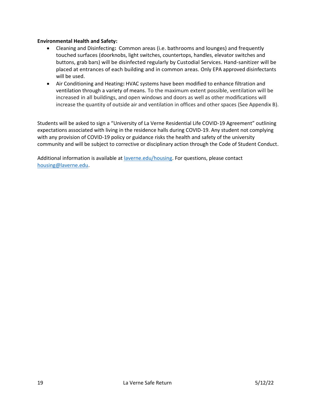#### **Environmental Health and Safety:**

- Cleaning and Disinfecting**:** Common areas (i.e. bathrooms and lounges) and frequently touched surfaces (doorknobs, light switches, countertops, handles, elevator switches and buttons, grab bars) will be disinfected regularly by Custodial Services. Hand-sanitizer will be placed at entrances of each building and in common areas. Only EPA approved disinfectants will be used.
- Air Conditioning and Heating**:** HVAC systems have been modified to enhance filtration and ventilation through a variety of means. To the maximum extent possible, ventilation will be increased in all buildings, and open windows and doors as well as other modifications will increase the quantity of outside air and ventilation in offices and other spaces (See Appendix B).

Students will be asked to sign a "University of La Verne Residential Life COVID-19 Agreement" outlining expectations associated with living in the residence halls during COVID-19. Any student not complying with any provision of COVID-19 policy or guidance risks the health and safety of the university community and will be subject to corrective or disciplinary action through the Code of Student Conduct.

Additional information is available at [laverne.edu/housing.](https://laverne.edu/housing/) For questions, please contact [housing@laverne.edu.](mailto:housing@laverne.edu)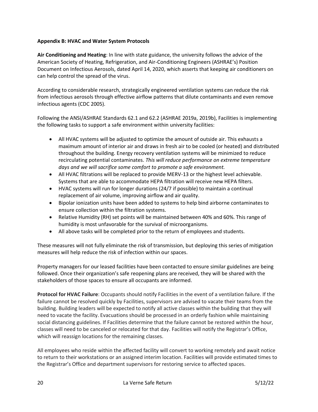#### <span id="page-19-0"></span>**Appendix B: HVAC and Water System Protocols**

**Air Conditioning and Heating**: In line with state guidance, the university follows the advice of the American Society of Heating, Refrigeration, and Air-Conditioning Engineers (ASHRAE's) Position Document on Infectious Aerosols, dated April 14, 2020, which asserts that keeping air conditioners on can help control the spread of the virus.

According to considerable research, strategically engineered ventilation systems can reduce the risk from infectious aerosols through effective airflow patterns that dilute contaminants and even remove infectious agents (CDC 2005).

Following the ANSI/ASHRAE Standards 62.1 and 62.2 (ASHRAE 2019a, 2019b), Facilities is implementing the following tasks to support a safe environment within university facilities:

- All HVAC systems will be adjusted to optimize the amount of outside air. This exhausts a maximum amount of interior air and draws in fresh air to be cooled (or heated) and distributed throughout the building. Energy recovery ventilation systems will be minimized to reduce recirculating potential contaminates. *This will reduce performance on extreme temperature days and we will sacrifice some comfort to promote a safe environment.*
- All HVAC filtrations will be replaced to provide MERV-13 or the highest level achievable. Systems that are able to accommodate HEPA filtration will receive new HEPA filters.
- HVAC systems will run for longer durations (24/7 if possible) to maintain a continual replacement of air volume, improving airflow and air quality.
- Bipolar ionization units have been added to systems to help bind airborne contaminates to ensure collection within the filtration systems.
- Relative Humidity (RH) set points will be maintained between 40% and 60%. This range of humidity is most unfavorable for the survival of microorganisms.
- All above tasks will be completed prior to the return of employees and students.

These measures will not fully eliminate the risk of transmission, but deploying this series of mitigation measures will help reduce the risk of infection within our spaces.

Property managers for our leased facilities have been contacted to ensure similar guidelines are being followed. Once their organization's safe reopening plans are received, they will be shared with the stakeholders of those spaces to ensure all occupants are informed.

**Protocol for HVAC Failure**: Occupants should notify Facilities in the event of a ventilation failure. If the failure cannot be resolved quickly by Facilities, supervisors are advised to vacate their teams from the building. Building leaders will be expected to notify all active classes within the building that they will need to vacate the facility. Evacuations should be processed in an orderly fashion while maintaining social distancing guidelines. If Facilities determine that the failure cannot be restored within the hour, classes will need to be canceled or relocated for that day. Facilities will notify the Registrar's Office, which will reassign locations for the remaining classes.

All employees who reside within the affected facility will convert to working remotely and await notice to return to their workstations or an assigned interim location. Facilities will provide estimated times to the Registrar's Office and department supervisors for restoring service to affected spaces.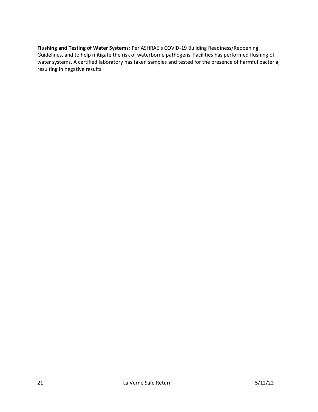**Flushing and Testing of Water Systems**: Per ASHRAE's COVID-19 Building Readiness/Reopening Guidelines, and to help mitigate the risk of waterborne pathogens, Facilities has performed flushing of water systems. A certified laboratory has taken samples and tested for the presence of harmful bacteria, resulting in negative results.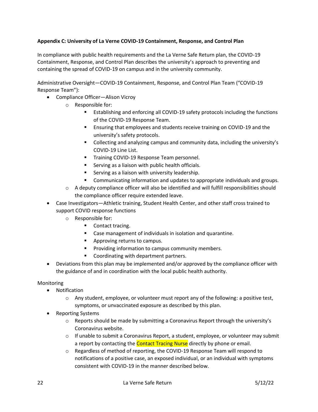#### <span id="page-21-0"></span>**Appendix C: University of La Verne COVID-19 Containment, Response, and Control Plan**

In compliance with public health requirements and the La Verne Safe Return plan, the COVID-19 Containment, Response, and Control Plan describes the university's approach to preventing and containing the spread of COVID-19 on campus and in the university community.

Administrative Oversight—COVID-19 Containment, Response, and Control Plan Team ("COVID-19 Response Team"):

- Compliance Officer—Alison Vicroy
	- o Responsible for:
		- Establishing and enforcing all COVID-19 safety protocols including the functions of the COVID-19 Response Team.
		- Ensuring that employees and students receive training on COVID-19 and the university's safety protocols.
		- Collecting and analyzing campus and community data, including the university's COVID-19 Line List.
		- **■** Training COVID-19 Response Team personnel.
		- Serving as a liaison with public health officials.
		- Serving as a liaison with university leadership.
		- Communicating information and updates to appropriate individuals and groups.
	- $\circ$  A deputy compliance officer will also be identified and will fulfill responsibilities should the compliance officer require extended leave.
- Case Investigators—Athletic training, Student Health Center, and other staff cross trained to support COVID response functions
	- o Responsible for:
		- Contact tracing.
		- Case management of individuals in isolation and quarantine.
		- Approving returns to campus.
		- Providing information to campus community members.
		- Coordinating with department partners.
- Deviations from this plan may be implemented and/or approved by the compliance officer with the guidance of and in coordination with the local public health authority.

#### Monitoring

- Notification
	- $\circ$  Any student, employee, or volunteer must report any of the following: a positive test, symptoms, or unvaccinated exposure as described by this plan.
- Reporting Systems
	- $\circ$  Reports should be made by submitting a Coronavirus Report through the university's Coronavirus website.
	- $\circ$  If unable to submit a Coronavirus Report, a student, employee, or volunteer may submit a report by contacting the Contact Tracing Nurse directly by phone or email.
	- o Regardless of method of reporting, the COVID-19 Response Team will respond to notifications of a positive case, an exposed individual, or an individual with symptoms consistent with COVID-19 in the manner described below.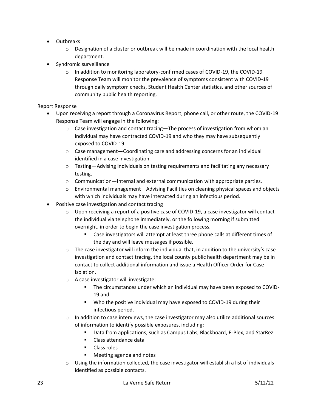- Outbreaks
	- $\circ$  Designation of a cluster or outbreak will be made in coordination with the local health department.
- Syndromic surveillance
	- o In addition to monitoring laboratory-confirmed cases of COVID-19, the COVID-19 Response Team will monitor the prevalence of symptoms consistent with COVID-19 through daily symptom checks, Student Health Center statistics, and other sources of community public health reporting.

#### Report Response

- Upon receiving a report through a Coronavirus Report, phone call, or other route, the COVID-19 Response Team will engage in the following:
	- $\circ$  Case investigation and contact tracing—The process of investigation from whom an individual may have contracted COVID-19 and who they may have subsequently exposed to COVID-19.
	- $\circ$  Case management—Coordinating care and addressing concerns for an individual identified in a case investigation.
	- $\circ$  Testing—Advising individuals on testing requirements and facilitating any necessary testing.
	- $\circ$  Communication—Internal and external communication with appropriate parties.
	- o Environmental management—Advising Facilities on cleaning physical spaces and objects with which individuals may have interacted during an infectious period.
- Positive case investigation and contact tracing
	- $\circ$  Upon receiving a report of a positive case of COVID-19, a case investigator will contact the individual via telephone immediately, or the following morning if submitted overnight, in order to begin the case investigation process.
		- Case investigators will attempt at least three phone calls at different times of the day and will leave messages if possible.
	- $\circ$  The case investigator will inform the individual that, in addition to the university's case investigation and contact tracing, the local county public health department may be in contact to collect additional information and issue a Health Officer Order for Case Isolation.
	- o A case investigator will investigate:
		- **•** The circumstances under which an individual may have been exposed to COVID-19 and
		- Who the positive individual may have exposed to COVID-19 during their infectious period.
	- $\circ$  In addition to case interviews, the case investigator may also utilize additional sources of information to identify possible exposures, including:
		- Data from applications, such as Campus Labs, Blackboard, E-Plex, and StarRez
		- Class attendance data
		- Class roles
		- Meeting agenda and notes
	- $\circ$  Using the information collected, the case investigator will establish a list of individuals identified as possible contacts.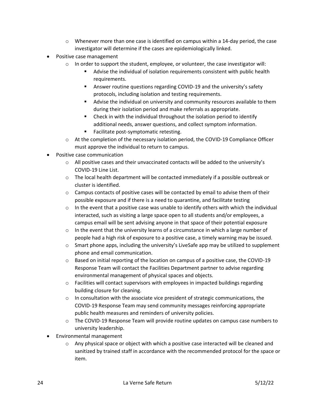- $\circ$  Whenever more than one case is identified on campus within a 14-day period, the case investigator will determine if the cases are epidemiologically linked.
- Positive case management
	- $\circ$  In order to support the student, employee, or volunteer, the case investigator will:
		- Advise the individual of isolation requirements consistent with public health requirements.
		- Answer routine questions regarding COVID-19 and the university's safety protocols, including isolation and testing requirements.
		- Advise the individual on university and community resources available to them during their isolation period and make referrals as appropriate.
		- Check in with the individual throughout the isolation period to identify additional needs, answer questions, and collect symptom information.
		- Facilitate post-symptomatic retesting.
	- o At the completion of the necessary isolation period, the COVID-19 Compliance Officer must approve the individual to return to campus.
- Positive case communication
	- $\circ$  All positive cases and their unvaccinated contacts will be added to the university's COVID-19 Line List.
	- $\circ$  The local health department will be contacted immediately if a possible outbreak or cluster is identified.
	- $\circ$  Campus contacts of positive cases will be contacted by email to advise them of their possible exposure and if there is a need to quarantine, and facilitate testing
	- $\circ$  In the event that a positive case was unable to identify others with which the individual interacted, such as visiting a large space open to all students and/or employees, a campus email will be sent advising anyone in that space of their potential exposure
	- $\circ$  In the event that the university learns of a circumstance in which a large number of people had a high risk of exposure to a positive case, a timely warning may be issued.
	- o Smart phone apps, including the university's LiveSafe app may be utilized to supplement phone and email communication.
	- $\circ$  Based on initial reporting of the location on campus of a positive case, the COVID-19 Response Team will contact the Facilities Department partner to advise regarding environmental management of physical spaces and objects.
	- $\circ$  Facilities will contact supervisors with employees in impacted buildings regarding building closure for cleaning.
	- $\circ$  In consultation with the associate vice president of strategic communications, the COVID-19 Response Team may send community messages reinforcing appropriate public health measures and reminders of university policies.
	- $\circ$  The COVID-19 Response Team will provide routine updates on campus case numbers to university leadership.
- Environmental management
	- $\circ$  Any physical space or object with which a positive case interacted will be cleaned and sanitized by trained staff in accordance with the recommended protocol for the space or item.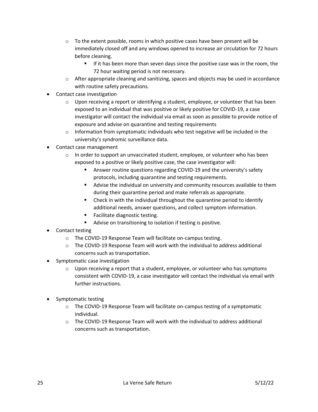- $\circ$  To the extent possible, rooms in which positive cases have been present will be immediately closed off and any windows opened to increase air circulation for 72 hours before cleaning.
	- If it has been more than seven days since the positive case was in the room, the 72 hour waiting period is not necessary.
- $\circ$  After appropriate cleaning and sanitizing, spaces and objects may be used in accordance with routine safety precautions.
- Contact case investigation
	- $\circ$  Upon receiving a report or identifying a student, employee, or volunteer that has been exposed to an individual that was positive or likely positive for COVID-19, a case investigator will contact the individual via email as soon as possible to provide notice of exposure and advise on quarantine and testing requirements
	- $\circ$  Information from symptomatic individuals who test negative will be included in the university's syndromic surveillance data.
- Contact case management
	- $\circ$  In order to support an unvaccinated student, employee, or volunteer who has been exposed to a positive or likely positive case, the case investigator will:
		- Answer routine questions regarding COVID-19 and the university's safety protocols, including quarantine and testing requirements.
		- Advise the individual on university and community resources available to them during their quarantine period and make referrals as appropriate.
		- Check in with the individual throughout the quarantine period to identify additional needs, answer questions, and collect symptom information.
		- Facilitate diagnostic testing.
		- Advise on transitioning to isolation if testing is positive.
- Contact testing
	- o The COVID-19 Response Team will facilitate on-campus testing.
	- $\circ$  The COVID-19 Response Team will work with the individual to address additional concerns such as transportation.
- Symptomatic case investigation
	- $\circ$  Upon receiving a report that a student, employee, or volunteer who has symptoms consistent with COVID-19, a case investigator will contact the individual via email with further instructions.
- Symptomatic testing
	- o The COVID-19 Response Team will facilitate on-campus testing of a symptomatic individual.
	- $\circ$  The COVID-19 Response Team will work with the individual to address additional concerns such as transportation.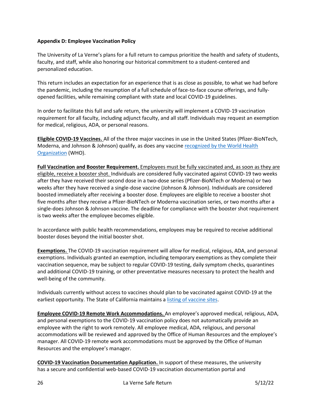#### <span id="page-25-0"></span>**Appendix D: Employee Vaccination Policy**

The University of La Verne's plans for a full return to campus prioritize the health and safety of students, faculty, and staff, while also honoring our historical commitment to a student-centered and personalized education.

This return includes an expectation for an experience that is as close as possible, to what we had before the pandemic, including the resumption of a full schedule of face-to-face course offerings, and fullyopened facilities, while remaining compliant with state and local COVID-19 guidelines.

In order to facilitate this full and safe return, the university will implement a COVID-19 vaccination requirement for all faculty, including adjunct faculty, and all staff. Individuals may request an exemption for medical, religious, ADA, or personal reasons.

**Eligible COVID-19 Vaccines.** All of the three major vaccines in use in the United States (Pfizer-BioNTech, Moderna, and Johnson & Johnson) qualify, as does any vaccine recognized by the World Health [Organization](https://extranet.who.int/pqweb/sites/default/files/documents/Status_COVID_VAX_16Feb2021.pdf) (WHO).

**Full Vaccination and Booster Requirement.** Employees must be fully vaccinated and, as soon as they are eligible, receive a booster shot. Individuals are considered fully vaccinated against COVID-19 two weeks after they have received their second dose in a two-dose series (Pfizer-BioNTech or Moderna) or two weeks after they have received a single-dose vaccine (Johnson & Johnson). Individuals are considered boosted immediately after receiving a booster dose. Employees are eligible to receive a booster shot five months after they receive a Pfizer-BioNTech or Moderna vaccination series, or two months after a single-does Johnson & Johnson vaccine. The deadline for compliance with the booster shot requirement is two weeks after the employee becomes eligible.

In accordance with public health recommendations, employees may be required to receive additional booster doses beyond the initial booster shot.

**Exemptions.** The COVID-19 vaccination requirement will allow for medical, religious, ADA, and personal exemptions. Individuals granted an exemption, including temporary exemptions as they complete their vaccination sequence, may be subject to regular COVID-19 testing, daily symptom checks, quarantines and additional COVID-19 training, or other preventative measures necessary to protect the health and well-being of the community.

Individuals currently without access to vaccines should plan to be vaccinated against COVID-19 at the earliest opportunity. The State of California maintains a [listing of vaccine sites.](https://myturn.ca.gov/)

**Employee COVID-19 Remote Work Accommodations.** An employee's approved medical, religious, ADA, and personal exemptions to the COVID-19 vaccination policy does not automatically provide an employee with the right to work remotely. All employee medical, ADA, religious, and personal accommodations will be reviewed and approved by the Office of Human Resources and the employee's manager. All COVID-19 remote work accommodations must be approved by the Office of Human Resources and the employee's manager.

**COVID-19 Vaccination Documentation Application.** In support of these measures, the university has a secure and confidential web-based COVID-19 vaccination documentation portal and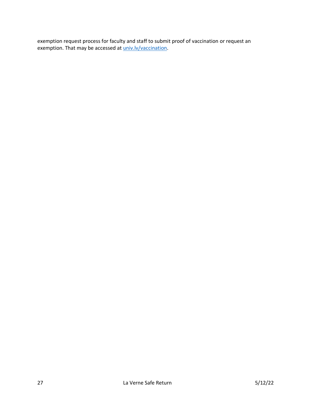exemption request process for faculty and staff to submit proof of vaccination or request an exemption. That may be accessed at univ.ly/vaccination.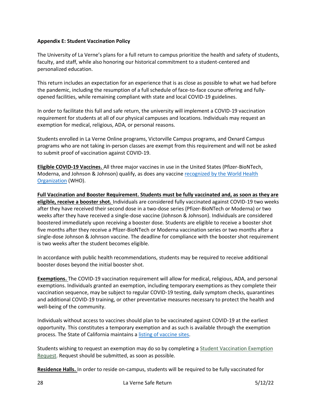#### <span id="page-27-0"></span>**Appendix E: Student Vaccination Policy**

The University of La Verne's plans for a full return to campus prioritize the health and safety of students, faculty, and staff, while also honoring our historical commitment to a student-centered and personalized education.

This return includes an expectation for an experience that is as close as possible to what we had before the pandemic, including the resumption of a full schedule of face-to-face course offering and fullyopened facilities, while remaining compliant with state and local COVID-19 guidelines.

In order to facilitate this full and safe return, the university will implement a COVID-19 vaccination requirement for students at all of our physical campuses and locations. Individuals may request an exemption for medical, religious, ADA, or personal reasons.

Students enrolled in La Verne Online programs, Victorville Campus programs, and Oxnard Campus programs who are not taking in-person classes are exempt from this requirement and will not be asked to submit proof of vaccination against COVID-19.

**Eligible COVID-19 Vaccines.** All three major vaccines in use in the United States (Pfizer-BioNTech, Moderna, and Johnson & Johnson) qualify, as does any vaccine [recognized by the World Health](https://extranet.who.int/pqweb/sites/default/files/documents/Status_COVID_VAX_16Feb2021.pdf)  [Organization](https://extranet.who.int/pqweb/sites/default/files/documents/Status_COVID_VAX_16Feb2021.pdf) (WHO).

**Full Vaccination and Booster Requirement. Students must be fully vaccinated and, as soon as they are eligible, receive a booster shot.** Individuals are considered fully vaccinated against COVID-19 two weeks after they have received their second dose in a two-dose series (Pfizer-BioNTech or Moderna) or two weeks after they have received a single-dose vaccine (Johnson & Johnson). Individuals are considered boostered immediately upon receiving a booster dose. Students are eligible to receive a booster shot five months after they receive a Pfizer-BioNTech or Moderna vaccination series or two months after a single-dose Johnson & Johnson vaccine. The deadline for compliance with the booster shot requirement is two weeks after the student becomes eligible.

In accordance with public health recommendations, students may be required to receive additional booster doses beyond the initial booster shot.

**Exemptions.** The COVID-19 vaccination requirement will allow for medical, religious, ADA, and personal exemptions. Individuals granted an exemption, including temporary exemptions as they complete their vaccination sequence, may be subject to regular COVID-19 testing, daily symptom checks, quarantines and additional COVID-19 training, or other preventative measures necessary to protect the health and well-being of the community.

Individuals without access to vaccines should plan to be vaccinated against COVID-19 at the earliest opportunity. This constitutes a temporary exemption and as such is available through the exemption process. The State of California maintains a [listing of vaccine sites.](https://myturn.ca.gov/)

Students wishing to request an exemption may do so by completing a [Student Vaccination Exemption](https://cm.maxient.com/reportingform.php?UnivofLaVerne&layout_id=34)  [Request.](https://cm.maxient.com/reportingform.php?UnivofLaVerne&layout_id=34) Request should be submitted, as soon as possible.

**Residence Halls.** In order to reside on-campus, students will be required to be fully vaccinated for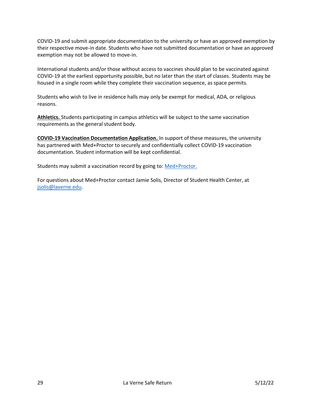COVID-19 and submit appropriate documentation to the university or have an approved exemption by their respective move-in date. Students who have not submitted documentation or have an approved exemption may not be allowed to move-in.

International students and/or those without access to vaccines should plan to be vaccinated against COVID-19 at the earliest opportunity possible, but no later than the start of classes. Students may be housed in a single room while they complete their vaccination sequence, as space permits.

Students who wish to live in residence halls may only be exempt for medical, ADA, or religious reasons.

**Athletics.** Students participating in campus athletics will be subject to the same vaccination requirements as the general student body.

**COVID-19 Vaccination Documentation Application.** In support of these measures, the university has partnered with Med+Proctor to securely and confidentially collect COVID-19 vaccination documentation. Student information will be kept confidential.

Students may submit a vaccination record by going to: [Med+Proctor.](https://secure.medproctor.com/Account/SignIn?hsCtaTracking=743469c4-129c-4bb4-b028-c50170c84c00%7C38f1b344-5c56-4ddd-bb6f-7384e4d06744)

For questions about Med+Proctor contact Jamie Solis, Director of Student Health Center, at [jsolis@laverne.edu.](mailto:jsolis@laverne.edu)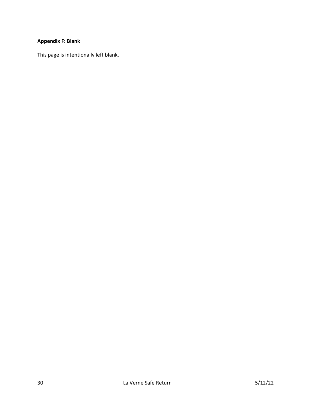## <span id="page-29-0"></span>**Appendix F: Blank**

This page is intentionally left blank.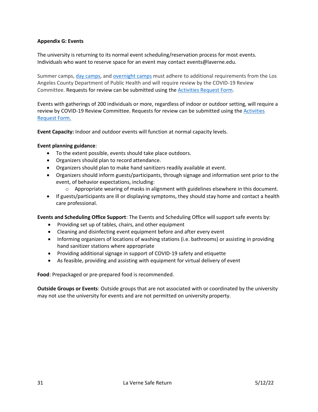#### <span id="page-30-0"></span>**Appendix G: Events**

The university is returning to its normal event scheduling/reservation process for most events. Individuals who want to reserve space for an event may contact events@laverne.edu.

Summer camps, [day camps,](http://publichealth.lacounty.gov/media/Coronavirus/docs/protocols/Reopening_DayCamps.pdf) and [overnight camps](http://publichealth.lacounty.gov/media/coronavirus/docs/protocols/Reopening_OvernightCamps.pdf) must adhere to additional requirements from the Los Angeles County Department of Public Health and will require review by the COVID-19 Review Committee. Requests for review can be submitted using th[e Activities Request Form.](https://myportal.laverne.edu/web/campus-safety/covid-event-request)

Events with gatherings of 200 individuals or more, regardless of indoor or outdoor setting, will require a review by COVID-19 Review Committee. Requests for review can be submitted using the [Activities](https://myportal.laverne.edu/web/campus-safety/covid-event-request)  [Request Form.](https://myportal.laverne.edu/web/campus-safety/covid-event-request)

**Event Capacity:** Indoor and outdoor events will function at normal capacity levels.

#### **Event planning guidance**:

- To the extent possible, events should take place outdoors.
- Organizers should plan to record attendance.
- Organizers should plan to make hand sanitizers readily available at event.
- Organizers should inform guests/participants, through signage and information sent prior to the event, of behavior expectations, including:
	- $\circ$  Appropriate wearing of masks in alignment with guidelines elsewhere in this document.
- If guests/participants are ill or displaying symptoms, they should stay home and contact a health care professional.

**Events and Scheduling Office Support**: The Events and Scheduling Office will support safe events by:

- Providing set up of tables, chairs, and other equipment
- Cleaning and disinfecting event equipment before and after every event
- Informing organizers of locations of washing stations (i.e. bathrooms) or assisting in providing hand sanitizer stations where appropriate
- Providing additional signage in support of COVID-19 safety and etiquette
- As feasible, providing and assisting with equipment for virtual delivery of event

**Food**: Prepackaged or pre-prepared food is recommended.

**Outside Groups or Events**: Outside groups that are not associated with or coordinated by the university may not use the university for events and are not permitted on university property.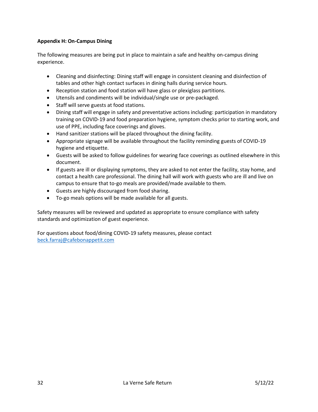#### <span id="page-31-0"></span>**Appendix H: On-Campus Dining**

The following measures are being put in place to maintain a safe and healthy on-campus dining experience.

- Cleaning and disinfecting: Dining staff will engage in consistent cleaning and disinfection of tables and other high contact surfaces in dining halls during service hours.
- Reception station and food station will have glass or plexiglass partitions.
- Utensils and condiments will be individual/single use or pre-packaged.
- Staff will serve guests at food stations.
- Dining staff will engage in safety and preventative actions including: participation in mandatory training on COVID-19 and food preparation hygiene, symptom checks prior to starting work, and use of PPE, including face coverings and gloves.
- Hand sanitizer stations will be placed throughout the dining facility.
- Appropriate signage will be available throughout the facility reminding guests of COVID-19 hygiene and etiquette.
- Guests will be asked to follow guidelines for wearing face coverings as outlined elsewhere in this document.
- If guests are ill or displaying symptoms, they are asked to not enter the facility, stay home, and contact a health care professional. The dining hall will work with guests who are ill and live on campus to ensure that to-go meals are provided/made available to them.
- Guests are highly discouraged from food sharing.
- To-go meals options will be made available for all guests.

Safety measures will be reviewed and updated as appropriate to ensure compliance with safety standards and optimization of guest experience.

For questions about food/dining COVID-19 safety measures, please contact [beck.farraj@cafebonappetit.com](mailto:beck.farraj@cafebonappetit.com)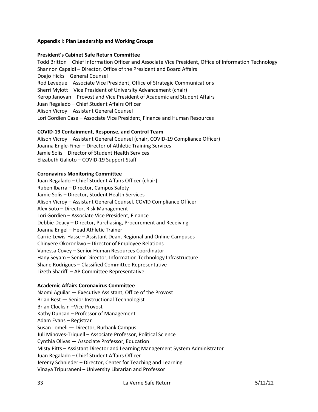#### <span id="page-32-0"></span>**Appendix I: Plan Leadership and Working Groups**

#### **President's Cabinet Safe Return Committee**

Todd Britton – Chief Information Officer and Associate Vice President, Office of Information Technology Shannon Capaldi – Director, Office of the President and Board Affairs Doajo Hicks – General Counsel Rod Leveque – Associate Vice President, Office of Strategic Communications Sherri Mylott – Vice President of University Advancement (chair) Kerop Janoyan – Provost and Vice President of Academic and Student Affairs Juan Regalado – Chief Student Affairs Officer Alison Vicroy – Assistant General Counsel Lori Gordien Case – Associate Vice President, Finance and Human Resources

#### **COVID-19 Containment, Response, and Control Team**

Alison Vicroy – Assistant General Counsel (chair, COVID-19 Compliance Officer) Joanna Engle-Finer – Director of Athletic Training Services Jamie Solis – Director of Student Health Services Elizabeth Galioto – COVID-19 Support Staff

#### **Coronavirus Monitoring Committee**

Juan Regalado – Chief Student Affairs Officer (chair) Ruben Ibarra – Director, Campus Safety Jamie Solis – Director, Student Health Services Alison Vicroy – Assistant General Counsel, COVID Compliance Officer Alex Soto – Director, Risk Management Lori Gordien – Associate Vice President, Finance Debbie Deacy – Director, Purchasing, Procurement and Receiving Joanna Engel – Head Athletic Trainer Carrie Lewis-Hasse – Assistant Dean, Regional and Online Campuses Chinyere Okoronkwo – Director of Employee Relations Vanessa Covey – Senior Human Resources Coordinator Hany Seyam – Senior Director, Information Technology Infrastructure Shane Rodrigues – Classified Committee Representative Lizeth Shariffi – AP Committee Representative

#### **Academic Affairs Coronavirus Committee**

Naomi Aguilar — Executive Assistant, Office of the Provost Brian Best — Senior Instructional Technologist Brian Clocksin –Vice Provost Kathy Duncan – Professor of Management Adam Evans – Registrar Susan Lomeli — Director, Burbank Campus Juli Minoves-Triquell – Associate Professor, Political Science Cynthia Olivas — Associate Professor, Education Misty Pitts – Assistant Director and Learning Management System Administrator Juan Regalado – Chief Student Affairs Officer Jeremy Schnieder – Director, Center for Teaching and Learning Vinaya Tripuraneni – University Librarian and Professor